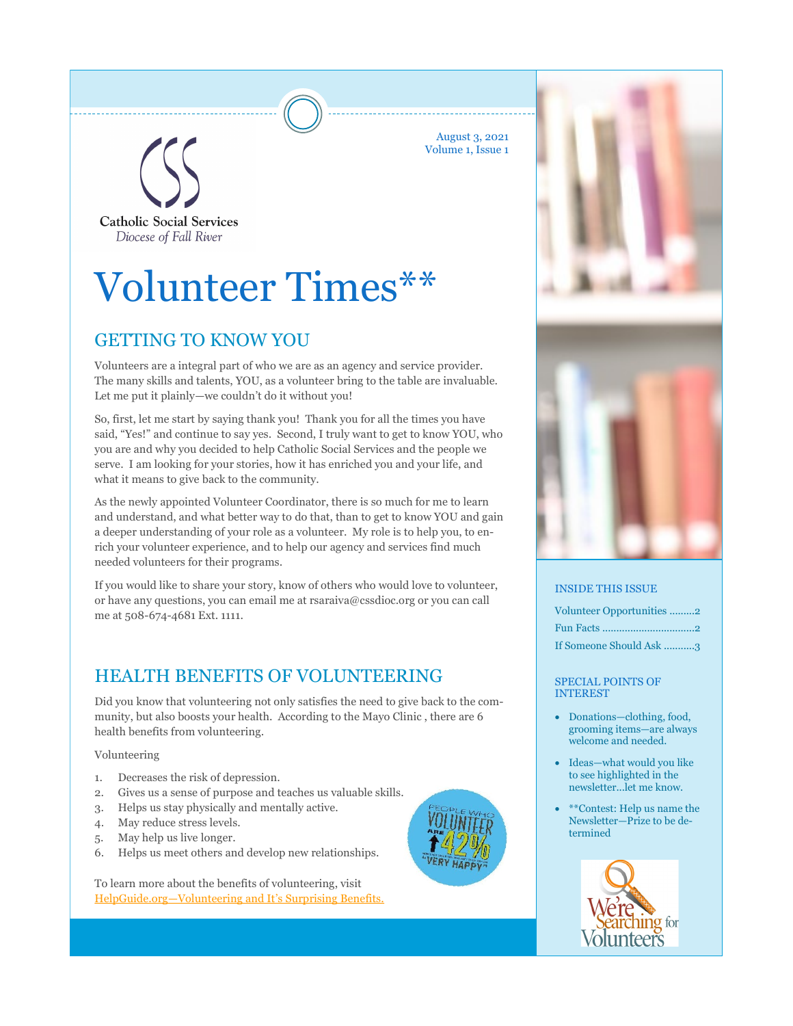August 3, 2021 Volume 1, Issue 1

**Catholic Social Services** Diocese of Fall River

# Volunteer Times\*\*

# GETTING TO KNOW YOU

Volunteers are a integral part of who we are as an agency and service provider. The many skills and talents, YOU, as a volunteer bring to the table are invaluable. Let me put it plainly—we couldn't do it without you!

So, first, let me start by saying thank you! Thank you for all the times you have said, "Yes!" and continue to say yes. Second, I truly want to get to know YOU, who you are and why you decided to help Catholic Social Services and the people we serve. I am looking for your stories, how it has enriched you and your life, and what it means to give back to the community.

As the newly appointed Volunteer Coordinator, there is so much for me to learn and understand, and what better way to do that, than to get to know YOU and gain a deeper understanding of your role as a volunteer. My role is to help you, to enrich your volunteer experience, and to help our agency and services find much needed volunteers for their programs.

If you would like to share your story, know of others who would love to volunteer, or have any questions, you can email me at rsaraiva@cssdioc.org or you can call me at 508-674-4681 Ext. 1111.

### HEALTH BENEFITS OF VOLUNTEERING

Did you know that volunteering not only satisfies the need to give back to the community, but also boosts your health. According to the Mayo Clinic , there are 6 health benefits from volunteering.

Volunteering

- 1. Decreases the risk of depression.
- 2. Gives us a sense of purpose and teaches us valuable skills.
- 3. Helps us stay physically and mentally active.
- 4. May reduce stress levels.
- 5. May help us live longer.
- 6. Helps us meet others and develop new relationships.

To learn more about the benefits of volunteering, visit [HelpGuide.org—Volunteering and It's Surprising Benefits.](https://www.helpguide.org/articles/healthy-living/volunteering-and-its-surprising-benefits.htmC:/Users/rsaraiva/Documents/Custom%20Office%20Templates)



#### INSIDE THIS ISSUE

| Volunteer Opportunities 2 |
|---------------------------|
|                           |
| If Someone Should Ask 3   |

SPECIAL POINTS OF INTEREST

- Donations—clothing, food, grooming items—are always welcome and needed.
- Ideas—what would you like to see highlighted in the newsletter...let me know.
- \*\*Contest: Help us name the Newsletter—Prize to be determined